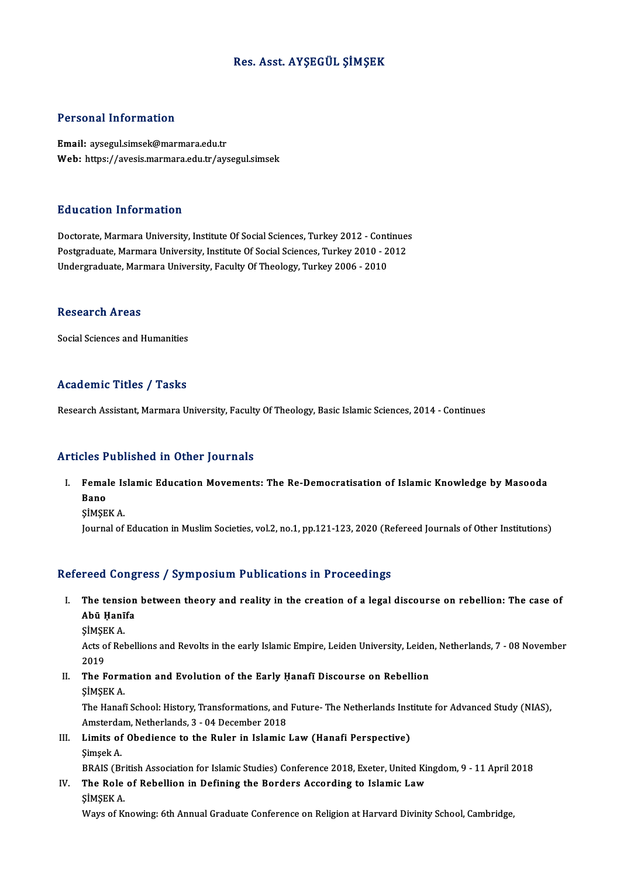# Res. Asst. AYŞEGÜL ŞİMŞEK

## Personal Information

Email: aysegul.simsek@marmara.edu.tr Web: https://avesis.marmara.edu.tr/aysegul.simsek

### Education Information

Education Information<br>Doctorate, Marmara University, Institute Of Social Sciences, Turkey 2012 - Continues<br>Postsraduate Marmara University, Institute Of Social Sciences, Turkey 2010 - 2012 Putroaces - Mary Mutron<br>Doctorate, Marmara University, Institute Of Social Sciences, Turkey 2012 - Continue:<br>Postgraduate, Marmara University, Institute Of Social Sciences, Turkey 2010 - 2012<br>Undergraduate Marmara Universi Postgraduate, Marmara University, Institute Of Social Sciences, Turkey 2010 - 2012<br>Undergraduate, Marmara University, Faculty Of Theology, Turkey 2006 - 2010

#### **Research Areas**

Social Sciences and Humanities

### Academic Titles / Tasks

Research Assistant, Marmara University, Faculty Of Theology, Basic Islamic Sciences, 2014 - Continues

### Articles Published in Other Journals

rticles Published in Other Journals<br>I. Female Islamic Education Movements: The Re-Democratisation of Islamic Knowledge by Masooda<br>Rane лев<br>Femal<br>Bano<br>siмсв Female Is<br>Bano<br>ŞİMŞEK A.<br>Journal of Bano<br>ŞİMŞEK A.<br>Journal of Education in Muslim Societies, vol.2, no.1, pp.121-123, 2020 (Refereed Journals of Other Institutions)

## Refereed Congress / Symposium Publications in Proceedings

- efereed Congress / Symposium Publications in Proceedings<br>I. The tension between theory and reality in the creation of a legal discourse on rebellion: The case of reed dong<br>The tension<br>Abū Ḥanīfa<br>siмs¤v ^ The tensi<br>Abū Ḥanī<br>ŞİMŞEK A.
	- SİMŞEK A

Abū Ḥanīfa<br>ȘİMŞEK A.<br>Acts of Rebellions and Revolts in the early Islamic Empire, Leiden University, Leiden, Netherlands, 7 - 08 November<br>2019 Acts of Rebellions and Revolts in the early Islamic Empire, Leiden University, Leiden<br>2019<br>II. The Formation and Evolution of the Early Ḥanafī Discourse on Rebellion<br>SIMSEV A

- 2019<br><mark>The Form</mark><br>ŞİMŞEK A.<br>The Hanef
	-

ŞİMŞEK A.<br>The Hanafī School: History, Transformations, and Future- The Netherlands Institute for Advanced Study (NIAS), ŞİMŞEK A.<br>The Hanafi School: History, Transformations, and<br>Amsterdam, Netherlands, 3 - 04 December 2018<br>Limits of Obodianse to the Buler in Islamis.

III. Limits of Obedience to the Ruler in Islamic Law (Hanafi Perspective)<br>
Simsek A. Amsterda<br>Li<mark>mits of</mark><br>Şimşek A.<br>PRAIS (B. Limits of Obedience to the Ruler in Islamic Law (Hanafi Perspective)<br>Simsek A.<br>BRAIS (British Association for Islamic Studies) Conference 2018, Exeter, United Kingdom, 9 - 11 April 2018<br>The Bole of Pebellien in Defining th

Simşek A.<br>BRAIS (British Association for Islamic Studies) Conference 2018, Exeter, United Ki:<br>IV. The Role of Rebellion in Defining the Borders According to Islamic Law<br>SIMSEV A BRAIS (Br.<br>The Role<br>ŞİMŞEK A.<br>Waya of K IV. The Role of Rebellion in Defining the Borders According to Islamic Law<br>SIMSEK A.<br>Ways of Knowing: 6th Annual Graduate Conference on Religion at Harvard Divinity School, Cambridge,